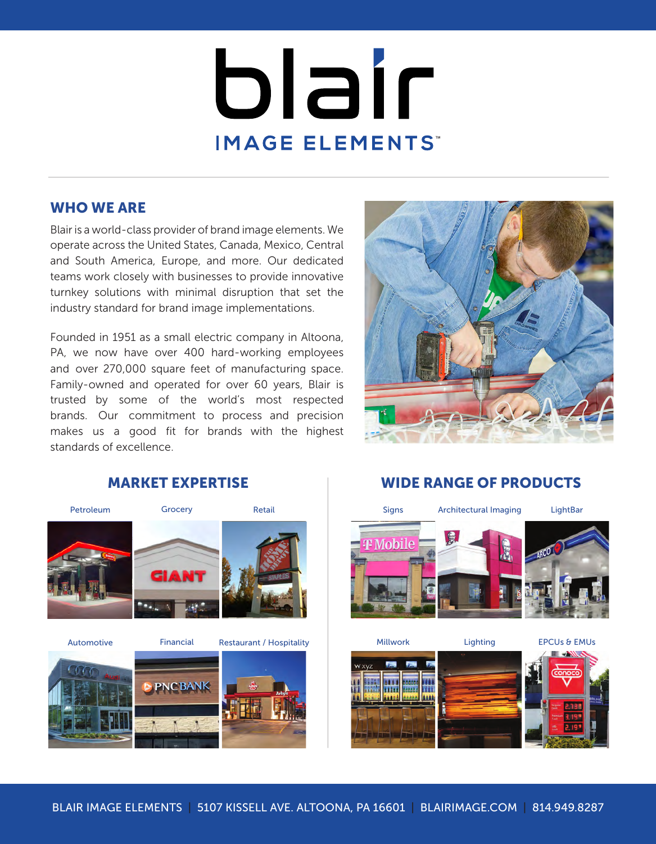# blair IMAGE ELEMENTS

# WHO WE ARE

Blair is a world-class provider of brand image elements. We operate across the United States, Canada, Mexico, Central and South America, Europe, and more. Our dedicated teams work closely with businesses to provide innovative turnkey solutions with minimal disruption that set the industry standard for brand image implementations.

Founded in 1951 as a small electric company in Altoona, PA, we now have over 400 hard-working employees and over 270,000 square feet of manufacturing space. Family-owned and operated for over 60 years, Blair is trusted by some of the world's most respected brands. Our commitment to process and precision makes us a good fit for brands with the highest standards of excellence.





Automotive Millwork Financial Lighting Restaurant / Hospitality EPCUs & EMUs



# MARKET EXPERTISE WIDE RANGE OF PRODUCTS